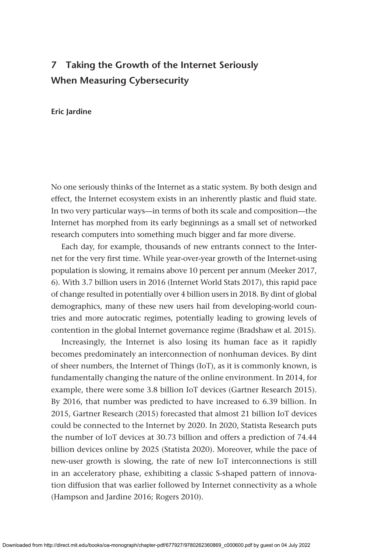# **7 Taking the Growth of the Internet Seriously When Measuring Cybersecurity**

## **Eric Jardine**

No one seriously thinks of the Internet as a static system. By both design and effect, the Internet ecosystem exists in an inherently plastic and fluid state. In two very particular ways—in terms of both its scale and composition—the Internet has morphed from its early beginnings as a small set of networked research computers into something much bigger and far more diverse.

Each day, for example, thousands of new entrants connect to the Internet for the very first time. While year-over-year growth of the Internet-using population is slowing, it remains above 10 percent per annum (Meeker 2017, 6). With 3.7 billion users in 2016 (Internet World Stats 2017), this rapid pace of change resulted in potentially over 4 billion users in 2018. By dint of global demographics, many of these new users hail from developing-world countries and more autocratic regimes, potentially leading to growing levels of contention in the global Internet governance regime (Bradshaw et al. 2015).

Increasingly, the Internet is also losing its human face as it rapidly becomes predominately an interconnection of nonhuman devices. By dint of sheer numbers, the Internet of Things (IoT), as it is commonly known, is fundamentally changing the nature of the online environment. In 2014, for example, there were some 3.8 billion IoT devices (Gartner Research 2015). By 2016, that number was predicted to have increased to 6.39 billion. In 2015, Gartner Research (2015) forecasted that almost 21 billion IoT devices could be connected to the Internet by 2020. In 2020, Statista Research puts the number of IoT devices at 30.73 billion and offers a prediction of 74.44 billion devices online by 2025 (Statista 2020). Moreover, while the pace of new-user growth is slowing, the rate of new IoT interconnections is still in an acceleratory phase, exhibiting a classic S-shaped pattern of innovation diffusion that was earlier followed by Internet connectivity as a whole (Hampson and Jardine 2016; Rogers 2010).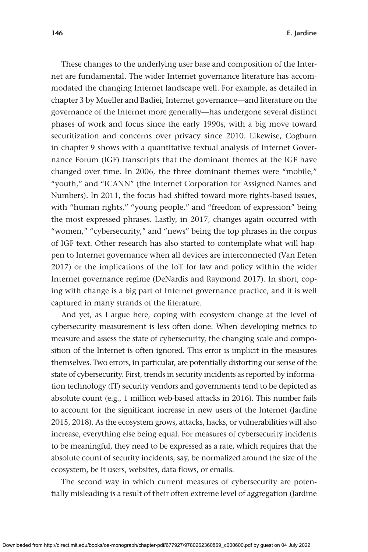These changes to the underlying user base and composition of the Internet are fundamental. The wider Internet governance literature has accommodated the changing Internet landscape well. For example, as detailed in chapter 3 by Mueller and Badiei, Internet governance—and literature on the governance of the Internet more generally—has undergone several distinct phases of work and focus since the early 1990s, with a big move toward securitization and concerns over privacy since 2010. Likewise, Cogburn in chapter 9 shows with a quantitative textual analysis of Internet Governance Forum (IGF) transcripts that the dominant themes at the IGF have changed over time. In 2006, the three dominant themes were "mobile," "youth," and "ICANN" (the Internet Corporation for Assigned Names and Numbers). In 2011, the focus had shifted toward more rights-based issues, with "human rights," "young people," and "freedom of expression" being the most expressed phrases. Lastly, in 2017, changes again occurred with "women," "cybersecurity," and "news" being the top phrases in the corpus of IGF text. Other research has also started to contemplate what will happen to Internet governance when all devices are interconnected (Van Eeten 2017) or the implications of the IoT for law and policy within the wider Internet governance regime (DeNardis and Raymond 2017). In short, coping with change is a big part of Internet governance practice, and it is well captured in many strands of the literature.

And yet, as I argue here, coping with ecosystem change at the level of cybersecurity measurement is less often done. When developing metrics to measure and assess the state of cybersecurity, the changing scale and composition of the Internet is often ignored. This error is implicit in the measures themselves. Two errors, in particular, are potentially distorting our sense of the state of cybersecurity. First, trends in security incidents as reported by information technology (IT) security vendors and governments tend to be depicted as absolute count (e.g., 1 million web-based attacks in 2016). This number fails to account for the significant increase in new users of the Internet (Jardine 2015, 2018). As the ecosystem grows, attacks, hacks, or vulnerabilities will also increase, everything else being equal. For measures of cybersecurity incidents to be meaningful, they need to be expressed as a rate, which requires that the absolute count of security incidents, say, be normalized around the size of the ecosystem, be it users, websites, data flows, or emails.

The second way in which current measures of cybersecurity are potentially misleading is a result of their often extreme level of aggregation (Jardine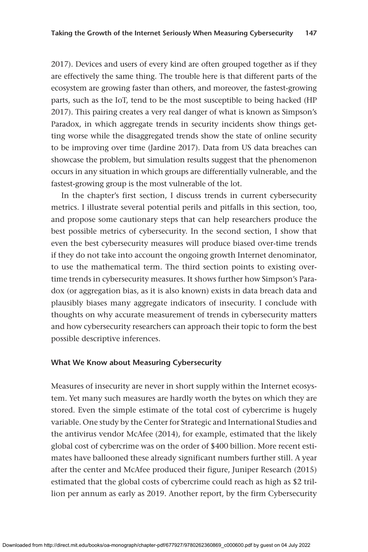2017). Devices and users of every kind are often grouped together as if they are effectively the same thing. The trouble here is that different parts of the ecosystem are growing faster than others, and moreover, the fastest-growing parts, such as the IoT, tend to be the most susceptible to being hacked (HP 2017). This pairing creates a very real danger of what is known as Simpson's Paradox, in which aggregate trends in security incidents show things getting worse while the disaggregated trends show the state of online security to be improving over time (Jardine 2017). Data from US data breaches can showcase the problem, but simulation results suggest that the phenomenon occurs in any situation in which groups are differentially vulnerable, and the fastest-growing group is the most vulnerable of the lot.

In the chapter's first section, I discuss trends in current cybersecurity metrics. I illustrate several potential perils and pitfalls in this section, too, and propose some cautionary steps that can help researchers produce the best possible metrics of cybersecurity. In the second section, I show that even the best cybersecurity measures will produce biased over-time trends if they do not take into account the ongoing growth Internet denominator, to use the mathematical term. The third section points to existing overtime trends in cybersecurity measures. It shows further how Simpson's Paradox (or aggregation bias, as it is also known) exists in data breach data and plausibly biases many aggregate indicators of insecurity. I conclude with thoughts on why accurate measurement of trends in cybersecurity matters and how cybersecurity researchers can approach their topic to form the best possible descriptive inferences.

# **What We Know about Measuring Cybersecurity**

Measures of insecurity are never in short supply within the Internet ecosystem. Yet many such measures are hardly worth the bytes on which they are stored. Even the simple estimate of the total cost of cybercrime is hugely variable. One study by the Center for Strategic and International Studies and the antivirus vendor McAfee (2014), for example, estimated that the likely global cost of cybercrime was on the order of \$400 billion. More recent estimates have ballooned these already significant numbers further still. A year after the center and McAfee produced their figure, Juniper Research (2015) estimated that the global costs of cybercrime could reach as high as \$2 trillion per annum as early as 2019. Another report, by the firm Cybersecurity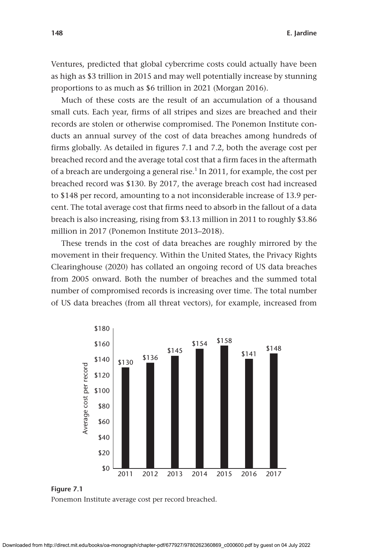Ventures, predicted that global cybercrime costs could actually have been as high as \$3 trillion in 2015 and may well potentially increase by stunning proportions to as much as \$6 trillion in 2021 (Morgan 2016).

Much of these costs are the result of an accumulation of a thousand small cuts. Each year, firms of all stripes and sizes are breached and their records are stolen or otherwise compromised. The Ponemon Institute conducts an annual survey of the cost of data breaches among hundreds of firms globally. As detailed in figures 7.1 and 7.2, both the average cost per breached record and the average total cost that a firm faces in the aftermath of a breach are undergoing a general rise.<sup>1</sup> In 2011, for example, the cost per breached record was \$130. By 2017, the average breach cost had increased to \$148 per record, amounting to a not inconsiderable increase of 13.9 percent. The total average cost that firms need to absorb in the fallout of a data breach is also increasing, rising from \$3.13 million in 2011 to roughly \$3.86 million in 2017 (Ponemon Institute 2013–2018).

These trends in the cost of data breaches are roughly mirrored by the movement in their frequency. Within the United States, the Privacy Rights Clearinghouse (2020) has collated an ongoing record of US data breaches from 2005 onward. Both the number of breaches and the summed total number of compromised records is increasing over time. The total number of US data breaches (from all threat vectors), for example, increased from



**Figure 7.1** Ponemon Institute average cost per record breached.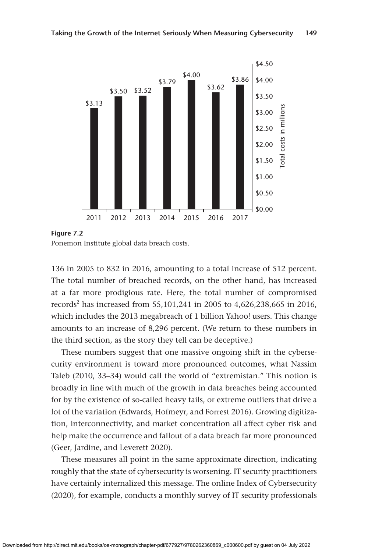

**Figure 7.2** Ponemon Institute global data breach costs.

136 in 2005 to 832 in 2016, amounting to a total increase of 512 percent. The total number of breached records, on the other hand, has increased at a far more prodigious rate. Here, the total number of compromised records<sup>2</sup> has increased from 55,101,241 in 2005 to 4,626,238,665 in 2016, which includes the 2013 megabreach of 1 billion Yahoo! users. This change amounts to an increase of 8,296 percent. (We return to these numbers in the third section, as the story they tell can be deceptive.)

These numbers suggest that one massive ongoing shift in the cybersecurity environment is toward more pronounced outcomes, what Nassim Taleb (2010, 33–34) would call the world of "extremistan." This notion is broadly in line with much of the growth in data breaches being accounted for by the existence of so-called heavy tails, or extreme outliers that drive a lot of the variation (Edwards, Hofmeyr, and Forrest 2016). Growing digitization, interconnectivity, and market concentration all affect cyber risk and help make the occurrence and fallout of a data breach far more pronounced (Geer, Jardine, and Leverett 2020).

These measures all point in the same approximate direction, indicating roughly that the state of cybersecurity is worsening. IT security practitioners have certainly internalized this message. The online Index of Cybersecurity (2020), for example, conducts a monthly survey of IT security professionals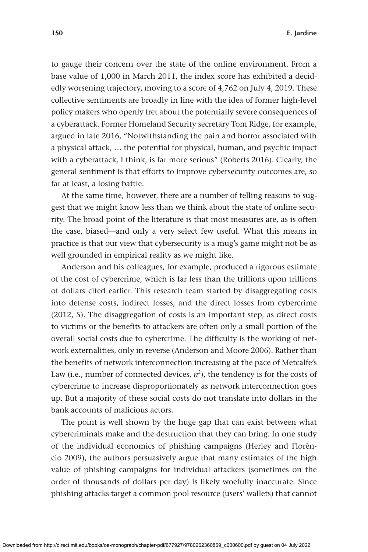to gauge their concern over the state of the online environment. From a base value of 1,000 in March 2011, the index score has exhibited a decidedly worsening trajectory, moving to a score of 4,762 on July 4, 2019. These collective sentiments are broadly in line with the idea of former high-level policy makers who openly fret about the potentially severe consequences of a cyberattack. Former Homeland Security secretary Tom Ridge, for example, argued in late 2016, "Notwithstanding the pain and horror associated with a physical attack, … the potential for physical, human, and psychic impact with a cyberattack, I think, is far more serious" (Roberts 2016). Clearly, the general sentiment is that efforts to improve cybersecurity outcomes are, so far at least, a losing battle.

At the same time, however, there are a number of telling reasons to suggest that we might know less than we think about the state of online security. The broad point of the literature is that most measures are, as is often the case, biased—and only a very select few useful. What this means in practice is that our view that cybersecurity is a mug's game might not be as well grounded in empirical reality as we might like.

Anderson and his colleagues, for example, produced a rigorous estimate of the cost of cybercrime, which is far less than the trillions upon trillions of dollars cited earlier. This research team started by disaggregating costs into defense costs, indirect losses, and the direct losses from cybercrime (2012, 5). The disaggregation of costs is an important step, as direct costs to victims or the benefits to attackers are often only a small portion of the overall social costs due to cybercrime. The difficulty is the working of network externalities, only in reverse (Anderson and Moore 2006). Rather than the benefits of network interconnection increasing at the pace of Metcalfe's Law (i.e., number of connected devices,  $n^2$ ), the tendency is for the costs of cybercrime to increase disproportionately as network interconnection goes up. But a majority of these social costs do not translate into dollars in the bank accounts of malicious actors.

The point is well shown by the huge gap that can exist between what cybercriminals make and the destruction that they can bring. In one study of the individual economics of phishing campaigns (Herley and Florêncio 2009), the authors persuasively argue that many estimates of the high value of phishing campaigns for individual attackers (sometimes on the order of thousands of dollars per day) is likely woefully inaccurate. Since phishing attacks target a common pool resource (users' wallets) that cannot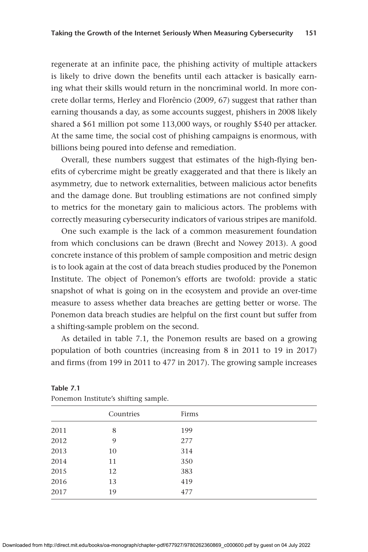regenerate at an infinite pace, the phishing activity of multiple attackers is likely to drive down the benefits until each attacker is basically earning what their skills would return in the noncriminal world. In more concrete dollar terms, Herley and Florêncio (2009, 67) suggest that rather than earning thousands a day, as some accounts suggest, phishers in 2008 likely shared a \$61 million pot some 113,000 ways, or roughly \$540 per attacker. At the same time, the social cost of phishing campaigns is enormous, with billions being poured into defense and remediation.

Overall, these numbers suggest that estimates of the high-flying benefits of cybercrime might be greatly exaggerated and that there is likely an asymmetry, due to network externalities, between malicious actor benefits and the damage done. But troubling estimations are not confined simply to metrics for the monetary gain to malicious actors. The problems with correctly measuring cybersecurity indicators of various stripes are manifold.

One such example is the lack of a common measurement foundation from which conclusions can be drawn (Brecht and Nowey 2013). A good concrete instance of this problem of sample composition and metric design is to look again at the cost of data breach studies produced by the Ponemon Institute. The object of Ponemon's efforts are twofold: provide a static snapshot of what is going on in the ecosystem and provide an over-time measure to assess whether data breaches are getting better or worse. The Ponemon data breach studies are helpful on the first count but suffer from a shifting-sample problem on the second.

As detailed in table 7.1, the Ponemon results are based on a growing population of both countries (increasing from 8 in 2011 to 19 in 2017) and firms (from 199 in 2011 to 477 in 2017). The growing sample increases

|      | Countries | Firms |
|------|-----------|-------|
| 2011 | 8         | 199   |
| 2012 | 9         | 277   |
| 2013 | 10        | 314   |
| 2014 | 11        | 350   |
| 2015 | 12        | 383   |
| 2016 | 13        | 419   |
| 2017 | 19        | 477   |

**Table 7.1** Ponemon Institute's shifting sample.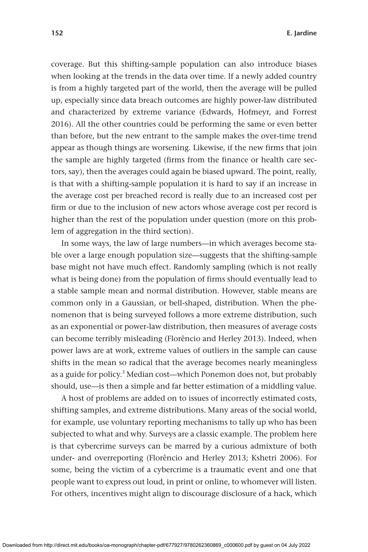coverage. But this shifting-sample population can also introduce biases when looking at the trends in the data over time. If a newly added country is from a highly targeted part of the world, then the average will be pulled up, especially since data breach outcomes are highly power-law distributed and characterized by extreme variance (Edwards, Hofmeyr, and Forrest 2016). All the other countries could be performing the same or even better than before, but the new entrant to the sample makes the over-time trend appear as though things are worsening. Likewise, if the new firms that join the sample are highly targeted (firms from the finance or health care sectors, say), then the averages could again be biased upward. The point, really, is that with a shifting-sample population it is hard to say if an increase in the average cost per breached record is really due to an increased cost per firm or due to the inclusion of new actors whose average cost per record is higher than the rest of the population under question (more on this problem of aggregation in the third section).

In some ways, the law of large numbers—in which averages become stable over a large enough population size—suggests that the shifting-sample base might not have much effect. Randomly sampling (which is not really what is being done) from the population of firms should eventually lead to a stable sample mean and normal distribution. However, stable means are common only in a Gaussian, or bell-shaped, distribution. When the phenomenon that is being surveyed follows a more extreme distribution, such as an exponential or power-law distribution, then measures of average costs can become terribly misleading (Florêncio and Herley 2013). Indeed, when power laws are at work, extreme values of outliers in the sample can cause shifts in the mean so radical that the average becomes nearly meaningless as a guide for policy.<sup>3</sup> Median cost—which Ponemon does not, but probably should, use—is then a simple and far better estimation of a middling value.

A host of problems are added on to issues of incorrectly estimated costs, shifting samples, and extreme distributions. Many areas of the social world, for example, use voluntary reporting mechanisms to tally up who has been subjected to what and why. Surveys are a classic example. The problem here is that cybercrime surveys can be marred by a curious admixture of both under- and overreporting (Florêncio and Herley 2013; Kshetri 2006). For some, being the victim of a cybercrime is a traumatic event and one that people want to express out loud, in print or online, to whomever will listen. For others, incentives might align to discourage disclosure of a hack, which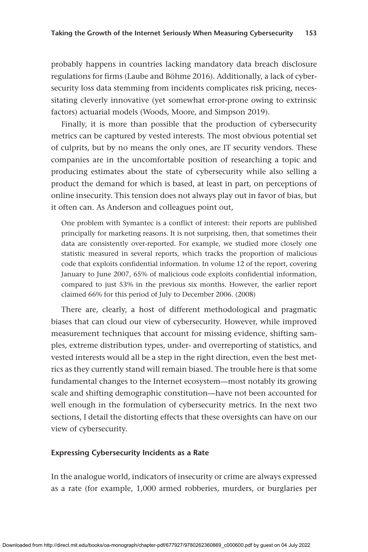probably happens in countries lacking mandatory data breach disclosure regulations for firms (Laube and Böhme 2016). Additionally, a lack of cybersecurity loss data stemming from incidents complicates risk pricing, necessitating cleverly innovative (yet somewhat error-prone owing to extrinsic factors) actuarial models (Woods, Moore, and Simpson 2019).

Finally, it is more than possible that the production of cybersecurity metrics can be captured by vested interests. The most obvious potential set of culprits, but by no means the only ones, are IT security vendors. These companies are in the uncomfortable position of researching a topic and producing estimates about the state of cybersecurity while also selling a product the demand for which is based, at least in part, on perceptions of online insecurity. This tension does not always play out in favor of bias, but it often can. As Anderson and colleagues point out,

One problem with Symantec is a conflict of interest: their reports are published principally for marketing reasons. It is not surprising, then, that sometimes their data are consistently over-reported. For example, we studied more closely one statistic measured in several reports, which tracks the proportion of malicious code that exploits confidential information. In volume 12 of the report, covering January to June 2007, 65% of malicious code exploits confidential information, compared to just 53% in the previous six months. However, the earlier report claimed 66% for this period of July to December 2006. (2008)

There are, clearly, a host of different methodological and pragmatic biases that can cloud our view of cybersecurity. However, while improved measurement techniques that account for missing evidence, shifting samples, extreme distribution types, under- and overreporting of statistics, and vested interests would all be a step in the right direction, even the best metrics as they currently stand will remain biased. The trouble here is that some fundamental changes to the Internet ecosystem—most notably its growing scale and shifting demographic constitution—have not been accounted for well enough in the formulation of cybersecurity metrics. In the next two sections, I detail the distorting effects that these oversights can have on our view of cybersecurity.

# **Expressing Cybersecurity Incidents as a Rate**

In the analogue world, indicators of insecurity or crime are always expressed as a rate (for example, 1,000 armed robberies, murders, or burglaries per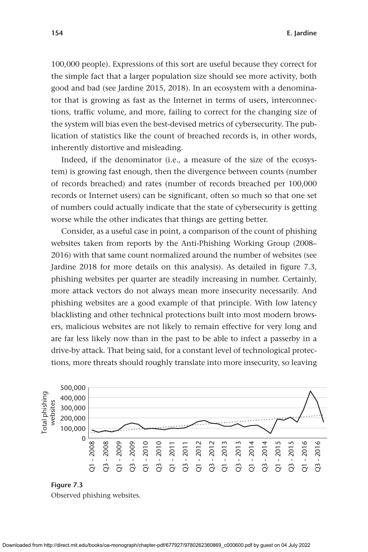100,000 people). Expressions of this sort are useful because they correct for the simple fact that a larger population size should see more activity, both good and bad (see Jardine 2015, 2018). In an ecosystem with a denominator that is growing as fast as the Internet in terms of users, interconnections, traffic volume, and more, failing to correct for the changing size of the system will bias even the best-devised metrics of cybersecurity. The publication of statistics like the count of breached records is, in other words, inherently distortive and misleading.

Indeed, if the denominator (i.e., a measure of the size of the ecosystem) is growing fast enough, then the divergence between counts (number of records breached) and rates (number of records breached per 100,000 records or Internet users) can be significant, often so much so that one set of numbers could actually indicate that the state of cybersecurity is getting worse while the other indicates that things are getting better.

Consider, as a useful case in point, a comparison of the count of phishing websites taken from reports by the Anti-Phishing Working Group (2008– 2016) with that same count normalized around the number of websites (see Jardine 2018 for more details on this analysis). As detailed in figure 7.3, phishing websites per quarter are steadily increasing in number. Certainly, more attack vectors do not always mean more insecurity necessarily. And phishing websites are a good example of that principle. With low latency blacklisting and other technical protections built into most modern browsers, malicious websites are not likely to remain effective for very long and are far less likely now than in the past to be able to infect a passerby in a drive-by attack. That being said, for a constant level of technological protections, more threats should roughly translate into more insecurity, so leaving



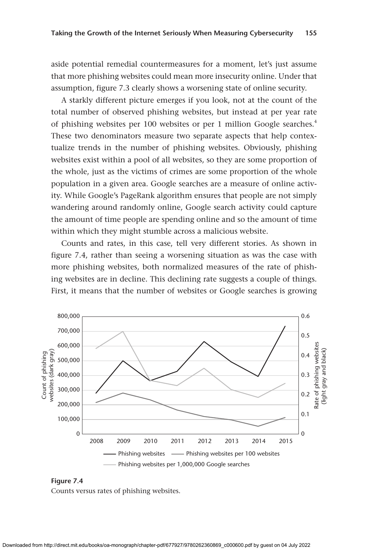aside potential remedial countermeasures for a moment, let's just assume that more phishing websites could mean more insecurity online. Under that assumption, figure 7.3 clearly shows a worsening state of online security.

A starkly different picture emerges if you look, not at the count of the total number of observed phishing websites, but instead at per year rate of phishing websites per 100 websites or per 1 million Google searches.4 These two denominators measure two separate aspects that help contextualize trends in the number of phishing websites. Obviously, phishing websites exist within a pool of all websites, so they are some proportion of the whole, just as the victims of crimes are some proportion of the whole population in a given area. Google searches are a measure of online activity. While Google's PageRank algorithm ensures that people are not simply wandering around randomly online, Google search activity could capture the amount of time people are spending online and so the amount of time within which they might stumble across a malicious website.

Counts and rates, in this case, tell very different stories. As shown in figure 7.4, rather than seeing a worsening situation as was the case with more phishing websites, both normalized measures of the rate of phishing websites are in decline. This declining rate suggests a couple of things. First, it means that the number of websites or Google searches is growing





Counts versus rates of phishing websites.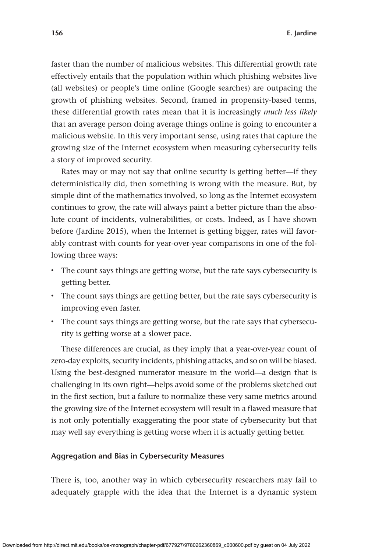faster than the number of malicious websites. This differential growth rate effectively entails that the population within which phishing websites live (all websites) or people's time online (Google searches) are outpacing the growth of phishing websites. Second, framed in propensity-based terms, these differential growth rates mean that it is increasingly *much less likely* that an average person doing average things online is going to encounter a malicious website. In this very important sense, using rates that capture the growing size of the Internet ecosystem when measuring cybersecurity tells a story of improved security.

Rates may or may not say that online security is getting better—if they deterministically did, then something is wrong with the measure. But, by simple dint of the mathematics involved, so long as the Internet ecosystem continues to grow, the rate will always paint a better picture than the absolute count of incidents, vulnerabilities, or costs. Indeed, as I have shown before (Jardine 2015), when the Internet is getting bigger, rates will favorably contrast with counts for year-over-year comparisons in one of the following three ways:

- The count says things are getting worse, but the rate says cybersecurity is getting better.
- The count says things are getting better, but the rate says cybersecurity is improving even faster.
- The count says things are getting worse, but the rate says that cybersecurity is getting worse at a slower pace.

These differences are crucial, as they imply that a year-over-year count of zero-day exploits, security incidents, phishing attacks, and so on will be biased. Using the best-designed numerator measure in the world—a design that is challenging in its own right—helps avoid some of the problems sketched out in the first section, but a failure to normalize these very same metrics around the growing size of the Internet ecosystem will result in a flawed measure that is not only potentially exaggerating the poor state of cybersecurity but that may well say everything is getting worse when it is actually getting better.

#### **Aggregation and Bias in Cybersecurity Measures**

There is, too, another way in which cybersecurity researchers may fail to adequately grapple with the idea that the Internet is a dynamic system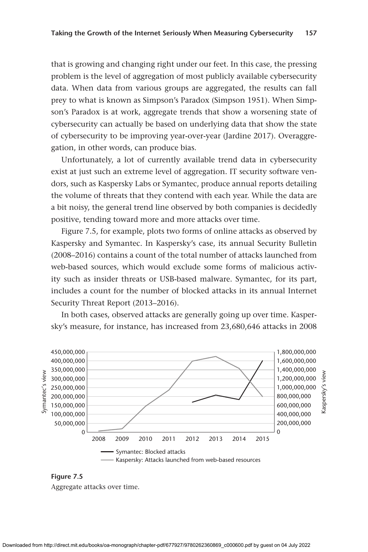that is growing and changing right under our feet. In this case, the pressing problem is the level of aggregation of most publicly available cybersecurity data. When data from various groups are aggregated, the results can fall prey to what is known as Simpson's Paradox (Simpson 1951). When Simpson's Paradox is at work, aggregate trends that show a worsening state of cybersecurity can actually be based on underlying data that show the state of cybersecurity to be improving year-over-year (Jardine 2017). Overaggregation, in other words, can produce bias.

Unfortunately, a lot of currently available trend data in cybersecurity exist at just such an extreme level of aggregation. IT security software vendors, such as Kaspersky Labs or Symantec, produce annual reports detailing the volume of threats that they contend with each year. While the data are a bit noisy, the general trend line observed by both companies is decidedly positive, tending toward more and more attacks over time.

Figure 7.5, for example, plots two forms of online attacks as observed by Kaspersky and Symantec. In Kaspersky's case, its annual Security Bulletin (2008–2016) contains a count of the total number of attacks launched from web-based sources, which would exclude some forms of malicious activity such as insider threats or USB-based malware. Symantec, for its part, includes a count for the number of blocked attacks in its annual Internet Security Threat Report (2013–2016).

In both cases, observed attacks are generally going up over time. Kaspersky's measure, for instance, has increased from 23,680,646 attacks in 2008



**Figure 7.5** Aggregate attacks over time.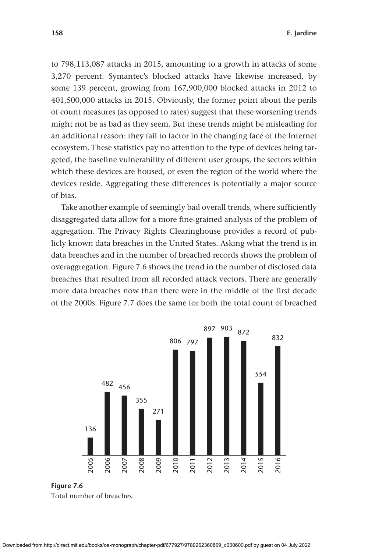to 798,113,087 attacks in 2015, amounting to a growth in attacks of some 3,270 percent. Symantec's blocked attacks have likewise increased, by some 139 percent, growing from 167,900,000 blocked attacks in 2012 to 401,500,000 attacks in 2015. Obviously, the former point about the perils of count measures (as opposed to rates) suggest that these worsening trends might not be as bad as they seem. But these trends might be misleading for an additional reason: they fail to factor in the changing face of the Internet ecosystem. These statistics pay no attention to the type of devices being targeted, the baseline vulnerability of different user groups, the sectors within which these devices are housed, or even the region of the world where the devices reside. Aggregating these differences is potentially a major source of bias.

Take another example of seemingly bad overall trends, where sufficiently disaggregated data allow for a more fine-grained analysis of the problem of aggregation. The Privacy Rights Clearinghouse provides a record of publicly known data breaches in the United States. Asking what the trend is in data breaches and in the number of breached records shows the problem of overaggregation. Figure 7.6 shows the trend in the number of disclosed data breaches that resulted from all recorded attack vectors. There are generally more data breaches now than there were in the middle of the first decade of the 2000s. Figure 7.7 does the same for both the total count of breached



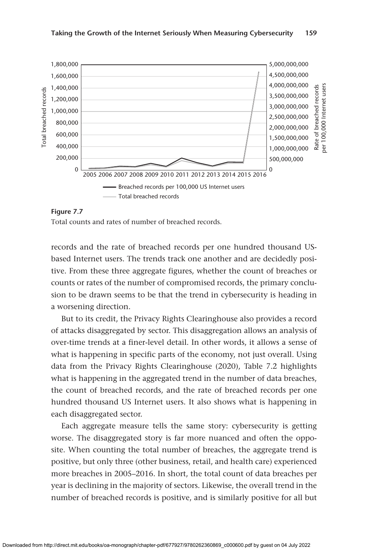



Total counts and rates of number of breached records.

records and the rate of breached records per one hundred thousand USbased Internet users. The trends track one another and are decidedly positive. From these three aggregate figures, whether the count of breaches or counts or rates of the number of compromised records, the primary conclusion to be drawn seems to be that the trend in cybersecurity is heading in a worsening direction.

But to its credit, the Privacy Rights Clearinghouse also provides a record of attacks disaggregated by sector. This disaggregation allows an analysis of over-time trends at a finer-level detail. In other words, it allows a sense of what is happening in specific parts of the economy, not just overall. Using data from the Privacy Rights Clearinghouse (2020), Table 7.2 highlights what is happening in the aggregated trend in the number of data breaches, the count of breached records, and the rate of breached records per one hundred thousand US Internet users. It also shows what is happening in each disaggregated sector.

Each aggregate measure tells the same story: cybersecurity is getting worse. The disaggregated story is far more nuanced and often the opposite. When counting the total number of breaches, the aggregate trend is positive, but only three (other business, retail, and health care) experienced more breaches in 2005–2016. In short, the total count of data breaches per year is declining in the majority of sectors. Likewise, the overall trend in the number of breached records is positive, and is similarly positive for all but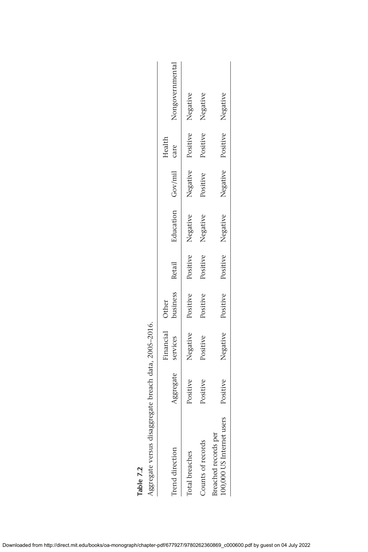| Table 7.2                                             |           |                       |                            |          |                                     |          |                            |                 |
|-------------------------------------------------------|-----------|-----------------------|----------------------------|----------|-------------------------------------|----------|----------------------------|-----------------|
| Aggregate versus disaggregate breach data, 2005-2016. |           |                       |                            |          |                                     |          |                            |                 |
| Trend direction                                       | Aggregate | Financial<br>services | business<br>Other          | Retail   | Education Gov/mil                   |          | care<br>Health             | Nongovernmental |
| Total breaches                                        | Positive  |                       | Negative Positive Positive |          | Negative                            |          | Negative Positive Negative |                 |
| Counts of records                                     | Positive  | Positive              | Positive                   | Positive | Negative                            | Positive | Positive                   | Negative        |
| 100,000 US Internet users<br>Breached records per     | Positive  |                       |                            |          | Negative Positive Positive Negative |          | Negative Positive Negative |                 |
|                                                       |           |                       |                            |          |                                     |          |                            |                 |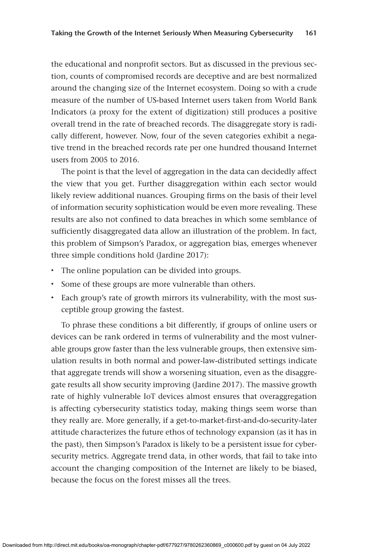the educational and nonprofit sectors. But as discussed in the previous section, counts of compromised records are deceptive and are best normalized around the changing size of the Internet ecosystem. Doing so with a crude measure of the number of US-based Internet users taken from World Bank Indicators (a proxy for the extent of digitization) still produces a positive overall trend in the rate of breached records. The disaggregate story is radically different, however. Now, four of the seven categories exhibit a negative trend in the breached records rate per one hundred thousand Internet users from 2005 to 2016.

The point is that the level of aggregation in the data can decidedly affect the view that you get. Further disaggregation within each sector would likely review additional nuances. Grouping firms on the basis of their level of information security sophistication would be even more revealing. These results are also not confined to data breaches in which some semblance of sufficiently disaggregated data allow an illustration of the problem. In fact, this problem of Simpson's Paradox, or aggregation bias, emerges whenever three simple conditions hold (Jardine 2017):

- The online population can be divided into groups.
- Some of these groups are more vulnerable than others.
- Each group's rate of growth mirrors its vulnerability, with the most susceptible group growing the fastest.

To phrase these conditions a bit differently, if groups of online users or devices can be rank ordered in terms of vulnerability and the most vulnerable groups grow faster than the less vulnerable groups, then extensive simulation results in both normal and power-law-distributed settings indicate that aggregate trends will show a worsening situation, even as the disaggregate results all show security improving (Jardine 2017). The massive growth rate of highly vulnerable IoT devices almost ensures that overaggregation is affecting cybersecurity statistics today, making things seem worse than they really are. More generally, if a get-to-market-first-and-do-security-later attitude characterizes the future ethos of technology expansion (as it has in the past), then Simpson's Paradox is likely to be a persistent issue for cybersecurity metrics. Aggregate trend data, in other words, that fail to take into account the changing composition of the Internet are likely to be biased, because the focus on the forest misses all the trees.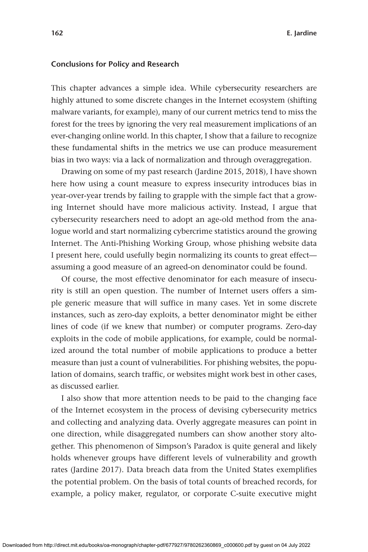#### **Conclusions for Policy and Research**

This chapter advances a simple idea. While cybersecurity researchers are highly attuned to some discrete changes in the Internet ecosystem (shifting malware variants, for example), many of our current metrics tend to miss the forest for the trees by ignoring the very real measurement implications of an ever-changing online world. In this chapter, I show that a failure to recognize these fundamental shifts in the metrics we use can produce measurement bias in two ways: via a lack of normalization and through overaggregation.

Drawing on some of my past research (Jardine 2015, 2018), I have shown here how using a count measure to express insecurity introduces bias in year-over-year trends by failing to grapple with the simple fact that a growing Internet should have more malicious activity. Instead, I argue that cybersecurity researchers need to adopt an age-old method from the analogue world and start normalizing cybercrime statistics around the growing Internet. The Anti-Phishing Working Group, whose phishing website data I present here, could usefully begin normalizing its counts to great effect assuming a good measure of an agreed-on denominator could be found.

Of course, the most effective denominator for each measure of insecurity is still an open question. The number of Internet users offers a simple generic measure that will suffice in many cases. Yet in some discrete instances, such as zero-day exploits, a better denominator might be either lines of code (if we knew that number) or computer programs. Zero-day exploits in the code of mobile applications, for example, could be normalized around the total number of mobile applications to produce a better measure than just a count of vulnerabilities. For phishing websites, the population of domains, search traffic, or websites might work best in other cases, as discussed earlier.

I also show that more attention needs to be paid to the changing face of the Internet ecosystem in the process of devising cybersecurity metrics and collecting and analyzing data. Overly aggregate measures can point in one direction, while disaggregated numbers can show another story altogether. This phenomenon of Simpson's Paradox is quite general and likely holds whenever groups have different levels of vulnerability and growth rates (Jardine 2017). Data breach data from the United States exemplifies the potential problem. On the basis of total counts of breached records, for example, a policy maker, regulator, or corporate C-suite executive might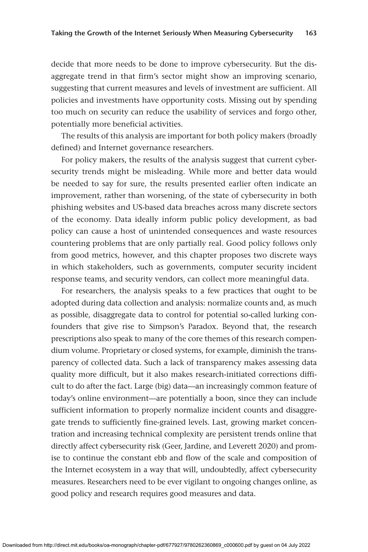decide that more needs to be done to improve cybersecurity. But the disaggregate trend in that firm's sector might show an improving scenario, suggesting that current measures and levels of investment are sufficient. All policies and investments have opportunity costs. Missing out by spending too much on security can reduce the usability of services and forgo other, potentially more beneficial activities.

The results of this analysis are important for both policy makers (broadly defined) and Internet governance researchers.

For policy makers, the results of the analysis suggest that current cybersecurity trends might be misleading. While more and better data would be needed to say for sure, the results presented earlier often indicate an improvement, rather than worsening, of the state of cybersecurity in both phishing websites and US-based data breaches across many discrete sectors of the economy. Data ideally inform public policy development, as bad policy can cause a host of unintended consequences and waste resources countering problems that are only partially real. Good policy follows only from good metrics, however, and this chapter proposes two discrete ways in which stakeholders, such as governments, computer security incident response teams, and security vendors, can collect more meaningful data.

For researchers, the analysis speaks to a few practices that ought to be adopted during data collection and analysis: normalize counts and, as much as possible, disaggregate data to control for potential so-called lurking confounders that give rise to Simpson's Paradox. Beyond that, the research prescriptions also speak to many of the core themes of this research compendium volume. Proprietary or closed systems, for example, diminish the transparency of collected data. Such a lack of transparency makes assessing data quality more difficult, but it also makes research-initiated corrections difficult to do after the fact. Large (big) data—an increasingly common feature of today's online environment—are potentially a boon, since they can include sufficient information to properly normalize incident counts and disaggregate trends to sufficiently fine-grained levels. Last, growing market concentration and increasing technical complexity are persistent trends online that directly affect cybersecurity risk (Geer, Jardine, and Leverett 2020) and promise to continue the constant ebb and flow of the scale and composition of the Internet ecosystem in a way that will, undoubtedly, affect cybersecurity measures. Researchers need to be ever vigilant to ongoing changes online, as good policy and research requires good measures and data.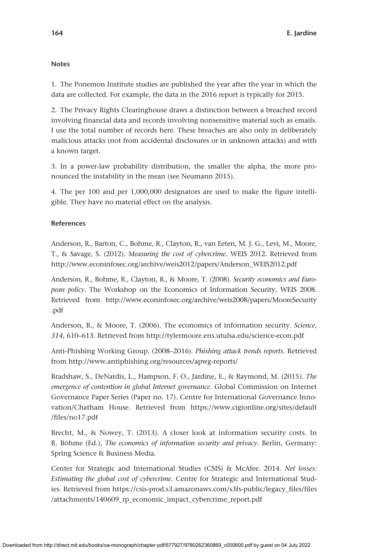## **Notes**

1. The Ponemon Institute studies are published the year after the year in which the data are collected. For example, the data in the 2016 report is typically for 2015.

2. The Privacy Rights Clearinghouse draws a distinction between a breached record involving financial data and records involving nonsensitive material such as emails. I use the total number of records here. These breaches are also only in deliberately malicious attacks (not from accidental disclosures or in unknown attacks) and with a known target.

3. In a power-law probability distribution, the smaller the alpha, the more pronounced the instability in the mean (see Neumann 2015).

4. The per 100 and per 1,000,000 designators are used to make the figure intelligible. They have no material effect on the analysis.

## **References**

Anderson, R., Barton, C., Bohme, R., Clayton, R., van Eeten, M. J. G., Levi, M., Moore, T., & Savage, S. (2012). *Measuring the cost of cybercrime*. WEIS 2012. Retrieved from [http://www.econinfosec.org/archive/weis2012/papers/Anderson\\_WEIS2012.pdf](http://www.econinfosec.org/archive/weis2012/papers/Anderson_WEIS2012.pdf)

Anderson, R., Bohme, R., Clayton, R., & Moore, T. (2008). *Security economics and European policy*. The Workshop on the Economics of Information Security, WEIS 2008. Retrieved from [http://www.econinfosec.org/archive/weis2008/papers/MooreSecurity](http://www.econinfosec.org/archive/weis2008/papers/MooreSecurity.pdf) [.pdf](http://www.econinfosec.org/archive/weis2008/papers/MooreSecurity.pdf)

Anderson, R., & Moore, T. (2006). The economics of information security. *Science, 314*, 610–613. Retrieved from <http://tylermoore.ens.utulsa.edu/science-econ.pdf>

Anti-Phishing Working Group. (2008–2016). *Phishing attack trends reports*. Retrieved from<http://www.antiphishing.org/resources/apwg-reports/>

Bradshaw, S., DeNardis, L., Hampson, F. O., Jardine, E., & Raymond, M. (2015). *The emergence of contention in global Internet governance*. Global Commission on Internet Governance Paper Series (Paper no. 17). Centre for International Governance Innovation/Chatham House. Retrieved from [https://www.cigionline.org/sites/default](https://www.cigionline.org/sites/default/files/no17.pdf) [/files/no17.pdf](https://www.cigionline.org/sites/default/files/no17.pdf)

Brecht, M., & Nowey, T. (2013). A closer look at information security costs. In R. Böhme (Ed.), *The economics of information security and privacy*. Berlin, Germany: Spring Science & Business Media.

Center for Strategic and International Studies (CSIS) & McAfee. 2014. *Net losses: Estimating the global cost of cybercrime*. Centre for Strategic and International Studies. Retrieved from [https://csis-prod.s3.amazonaws.com/s3fs-public/legacy\\_files/files](https://csis-prod.s3.amazonaws.com/s3fs-public/legacy_files/files/attachments/140609_rp_economic_impact_cybercrime_report.pdf) [/attachments/140609\\_rp\\_economic\\_impact\\_cybercrime\\_report.pdf](https://csis-prod.s3.amazonaws.com/s3fs-public/legacy_files/files/attachments/140609_rp_economic_impact_cybercrime_report.pdf)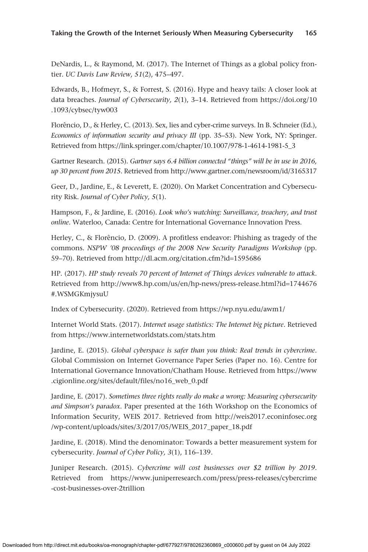DeNardis, L., & Raymond, M. (2017). The Internet of Things as a global policy frontier. *UC Davis Law Review, 51*(2), 475–497.

Edwards, B., Hofmeyr, S., & Forrest, S. (2016). Hype and heavy tails: A closer look at data breaches. *Journal of Cybersecurity, 2*(1), 3–14. Retrieved from [https://doi.org/10](https://doi.org/10.1093/cybsec/tyw003) [.1093/cybsec/tyw003](https://doi.org/10.1093/cybsec/tyw003)

Florêncio, D., & Herley, C. (2013). Sex, lies and cyber-crime surveys. In B. Schneier (Ed.), *Economics of information security and privacy III* (pp. 35–53). New York, NY: Springer. Retrieved from [https://link.springer.com/chapter/10.1007/978-1-4614-1981-5\\_3](https://link.springer.com/chapter/10.1007/978-1-4614-1981-5_3)

Gartner Research. (2015). *Gartner says 6.4 billion connected "things" will be in use in 2016, up 30 percent from 2015*. Retrieved from<http://www.gartner.com/newsroom/id/3165317>

Geer, D., Jardine, E., & Leverett, E. (2020). On Market Concentration and Cybersecurity Risk. *Journal of Cyber Policy, 5*(1).

Hampson, F., & Jardine, E. (2016). *Look who's watching: Surveillance, treachery, and trust online*. Waterloo, Canada: Centre for International Governance Innovation Press.

Herley, C., & Florêncio, D. (2009). A profitless endeavor: Phishing as tragedy of the commons. *NSPW '08 proceedings of the 2008 New Security Paradigms Workshop* (pp. 59–70). Retrieved from [http://dl.acm.org/citation.cfm?id](http://dl.acm.org/citation.cfm?id=1595686)=1595686

HP. (2017). *HP study reveals 70 percent of Internet of Things devices vulnerable to attack*. Retrieved from [http://www8.hp.com/us/en/hp-news/press-release.html?id](http://www8.hp.com/us/en/hp-news/press-release.html?id=1744676#.WSMGKmjysuU)=1744676 [#.WSMGKmjysuU](http://www8.hp.com/us/en/hp-news/press-release.html?id=1744676#.WSMGKmjysuU)

Index of Cybersecurity. (2020). Retrieved from <https://wp.nyu.edu/awm1/>

Internet World Stats. (2017). *Internet usage statistics: The Internet big picture*. Retrieved from<https://www.internetworldstats.com/stats.htm>

Jardine, E. (2015). *Global cyberspace is safer than you think: Real trends in cybercrime*. Global Commission on Internet Governance Paper Series (Paper no. 16). Centre for International Governance Innovation/Chatham House. Retrieved from [https://www](https://www.cigionline.org/sites/default/files/no16_web_0.pdf) [.cigionline.org/sites/default/files/no16\\_web\\_0.pdf](https://www.cigionline.org/sites/default/files/no16_web_0.pdf)

Jardine, E. (2017). *Sometimes three rights really do make a wrong: Measuring cybersecurity and Simpson's paradox*. Paper presented at the 16th Workshop on the Economics of Information Security, WEIS 2017. Retrieved from [http://weis2017.econinfosec.org](http://weis2017.econinfosec.org/wp-content/uploads/sites/3/2017/05/WEIS_2017_paper_18.pdf) [/wp-content/uploads/sites/3/2017/05/WEIS\\_2017\\_paper\\_18.pdf](http://weis2017.econinfosec.org/wp-content/uploads/sites/3/2017/05/WEIS_2017_paper_18.pdf)

Jardine, E. (2018). Mind the denominator: Towards a better measurement system for cybersecurity. *Journal of Cyber Policy, 3*(1), 116–139.

Juniper Research. (2015). *Cybercrime will cost businesses over \$2 trillion by 2019*. Retrieved from [https://www.juniperresearch.com/press/press-releases/cybercrime](https://www.juniperresearch.com/press/press-releases/cybercrime-cost-businesses-over-2trillion) [-cost-businesses-over-2trillion](https://www.juniperresearch.com/press/press-releases/cybercrime-cost-businesses-over-2trillion)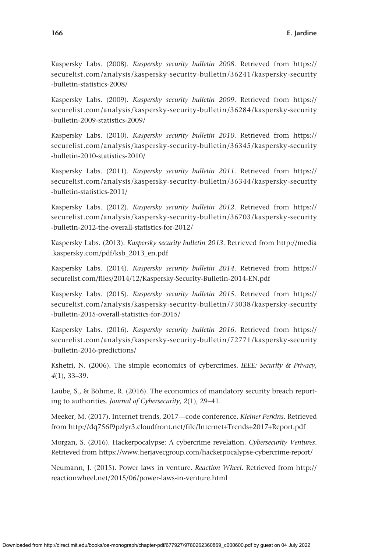Kaspersky Labs. (2008). *Kaspersky security bulletin 2008*. Retrieved from [https://](https://securelist.com/analysis/kaspersky-security-bulletin/36241/kaspersky-security-bulletin-statistics-2008/) [securelist.com/analysis/kaspersky-security-bulletin/36241/kaspersky-security](https://securelist.com/analysis/kaspersky-security-bulletin/36241/kaspersky-security-bulletin-statistics-2008/) [-bulletin-statistics-2008/](https://securelist.com/analysis/kaspersky-security-bulletin/36241/kaspersky-security-bulletin-statistics-2008/)

Kaspersky Labs. (2009). *Kaspersky security bulletin 2009*. Retrieved from [https://](https://securelist.com/analysis/kaspersky-security-bulletin/36284/kaspersky-security-bulletin-2009-statistics-2009/) [securelist.com/analysis/kaspersky-security-bulletin/36284/kaspersky-security](https://securelist.com/analysis/kaspersky-security-bulletin/36284/kaspersky-security-bulletin-2009-statistics-2009/) [-bulletin-2009-statistics-2009/](https://securelist.com/analysis/kaspersky-security-bulletin/36284/kaspersky-security-bulletin-2009-statistics-2009/)

Kaspersky Labs. (2010). *Kaspersky security bulletin 2010*. Retrieved from [https://](https://securelist.com/analysis/kaspersky-security-bulletin/36345/kaspersky-security-bulletin-2010-statistics-2010/) [securelist.com/analysis/kaspersky-security-bulletin/36345/kaspersky-security](https://securelist.com/analysis/kaspersky-security-bulletin/36345/kaspersky-security-bulletin-2010-statistics-2010/) [-bulletin-2010-statistics-2010/](https://securelist.com/analysis/kaspersky-security-bulletin/36345/kaspersky-security-bulletin-2010-statistics-2010/)

Kaspersky Labs. (2011). *Kaspersky security bulletin 2011*. Retrieved from [https://](https://securelist.com/analysis/kaspersky-security-bulletin/36344/kaspersky-security-bulletin-statistics-2011/) [securelist.com/analysis/kaspersky-security-bulletin/36344/kaspersky-security](https://securelist.com/analysis/kaspersky-security-bulletin/36344/kaspersky-security-bulletin-statistics-2011/) [-bulletin-statistics-2011/](https://securelist.com/analysis/kaspersky-security-bulletin/36344/kaspersky-security-bulletin-statistics-2011/)

Kaspersky Labs. (2012). *Kaspersky security bulletin 2012*. Retrieved from [https://](https://securelist.com/analysis/kaspersky-security-bulletin/36703/kaspersky-security-bulletin-2012-the-overall-statistics-for-2012/) [securelist.com/analysis/kaspersky-security-bulletin/36703/kaspersky-security](https://securelist.com/analysis/kaspersky-security-bulletin/36703/kaspersky-security-bulletin-2012-the-overall-statistics-for-2012/) [-bulletin-2012-the-overall-statistics-for-2012/](https://securelist.com/analysis/kaspersky-security-bulletin/36703/kaspersky-security-bulletin-2012-the-overall-statistics-for-2012/)

Kaspersky Labs. (2013). *Kaspersky security bulletin 2013*. Retrieved from [http://media](http://media.kaspersky.com/pdf/ksb_2013_en.pdf) [.kaspersky.com/pdf/ksb\\_2013\\_en.pdf](http://media.kaspersky.com/pdf/ksb_2013_en.pdf)

Kaspersky Labs. (2014). *Kaspersky security bulletin 2014*. Retrieved from [https://](https://securelist.com/files/2014/12/Kaspersky-Security-Bulletin-2014-EN.pdf) [securelist.com/files/2014/12/Kaspersky-Security-Bulletin-2014-EN.pdf](https://securelist.com/files/2014/12/Kaspersky-Security-Bulletin-2014-EN.pdf)

Kaspersky Labs. (2015). *Kaspersky security bulletin 2015*. Retrieved from [https://](https://securelist.com/analysis/kaspersky-security-bulletin/73038/kaspersky-security-bulletin-2015-overall-statistics-for-2015/) [securelist.com/analysis/kaspersky-security-bulletin/73038/kaspersky-security](https://securelist.com/analysis/kaspersky-security-bulletin/73038/kaspersky-security-bulletin-2015-overall-statistics-for-2015/) [-bulletin-2015-overall-statistics-for-2015/](https://securelist.com/analysis/kaspersky-security-bulletin/73038/kaspersky-security-bulletin-2015-overall-statistics-for-2015/)

Kaspersky Labs. (2016). *Kaspersky security bulletin 2016*. Retrieved from [https://](https://securelist.com/analysis/kaspersky-security-bulletin/72771/kaspersky-security-bulletin-2016-predictions/) [securelist.com/analysis/kaspersky-security-bulletin/72771/kaspersky-security](https://securelist.com/analysis/kaspersky-security-bulletin/72771/kaspersky-security-bulletin-2016-predictions/) [-bulletin-2016-predictions/](https://securelist.com/analysis/kaspersky-security-bulletin/72771/kaspersky-security-bulletin-2016-predictions/)

Kshetri, N. (2006). The simple economics of cybercrimes. *IEEE: Security & Privacy, 4*(1), 33–39.

Laube, S., & Böhme, R. (2016). The economics of mandatory security breach reporting to authorities. *Journal of Cybersecurity, 2*(1), 29–41.

Meeker, M. (2017). Internet trends, 2017—code conference. *Kleiner Perkins*. Retrieved from [http://dq756f9pzlyr3.cloudfront.net/file/Internet](http://dq756f9pzlyr3.cloudfront.net/file/Internet+Trends+2017+Report.pdf)+Trends+2017+Report.pdf

Morgan, S. (2016). Hackerpocalypse: A cybercrime revelation. *Cybersecurity Ventures*. Retrieved from<https://www.herjavecgroup.com/hackerpocalypse-cybercrime-report/>

Neumann, J. (2015). Power laws in venture. *Reaction Wheel*. Retrieved from [http://](http://reactionwheel.net/2015/06/power-laws-in-venture.html) [reactionwheel.net/2015/06/power-laws-in-venture.html](http://reactionwheel.net/2015/06/power-laws-in-venture.html)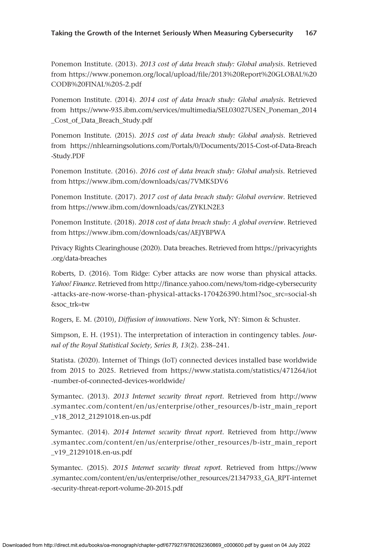Ponemon Institute. (2013). *2013 cost of data breach study: Global analysis*. Retrieved from [https://www.ponemon.org/local/upload/file/2013%20Report%20GLOBAL%20](https://www.ponemon.org/local/upload/file/2013%20Report%20GLOBAL%20CODB%20FINAL%205-2.pdf) [CODB%20FINAL%205-2.pdf](https://www.ponemon.org/local/upload/file/2013%20Report%20GLOBAL%20CODB%20FINAL%205-2.pdf)

Ponemon Institute. (2014). *2014 cost of data breach study: Global analysis*. Retrieved from [https://www-935.ibm.com/services/multimedia/SEL03027USEN\\_Poneman\\_2014](https://www-935.ibm.com/services/multimedia/SEL03027USEN_Poneman_2014_Cost_of_Data_Breach_Study.pdf) [\\_Cost\\_of\\_Data\\_Breach\\_Study.pdf](https://www-935.ibm.com/services/multimedia/SEL03027USEN_Poneman_2014_Cost_of_Data_Breach_Study.pdf)

Ponemon Institute. (2015). *2015 cost of data breach study: Global analysis*. Retrieved from [https://nhlearningsolutions.com/Portals/0/Documents/2015-Cost-of-Data-Breach](https://nhlearningsolutions.com/Portals/0/Documents/2015-Cost-of-Data-Breach-Study.PDF) [-Study.PDF](https://nhlearningsolutions.com/Portals/0/Documents/2015-Cost-of-Data-Breach-Study.PDF)

Ponemon Institute. (2016). *2016 cost of data breach study: Global analysis*. Retrieved from<https://www.ibm.com/downloads/cas/7VMK5DV6>

Ponemon Institute. (2017). *2017 cost of data breach study: Global overview*. Retrieved from<https://www.ibm.com/downloads/cas/ZYKLN2E3>

Ponemon Institute. (2018). *2018 cost of data breach study: A global overview*. Retrieved from<https://www.ibm.com/downloads/cas/AEJYBPWA>

Privacy Rights Clearinghouse (2020). Data breaches. Retrieved from [https://privacyrights](https://privacyrights.org/data-breaches) [.org/data-breaches](https://privacyrights.org/data-breaches)

Roberts, D. (2016). Tom Ridge: Cyber attacks are now worse than physical attacks. *Yahoo! Finance*. Retrieved from [http://finance.yahoo.com/news/tom-ridge-cybersecurity](http://finance.yahoo.com/news/tom-ridge-cybersecurity-attacks-are-now-worse-than-physical-attacks-170426390.html?soc_src=social-sh&soc_trk=tw) [-attacks-are-now-worse-than-physical-attacks-170426390.html?soc\\_src](http://finance.yahoo.com/news/tom-ridge-cybersecurity-attacks-are-now-worse-than-physical-attacks-170426390.html?soc_src=social-sh&soc_trk=tw)=social-sh [&soc\\_trk](http://finance.yahoo.com/news/tom-ridge-cybersecurity-attacks-are-now-worse-than-physical-attacks-170426390.html?soc_src=social-sh&soc_trk=tw)=tw

Rogers, E. M. (2010), *Diffusion of innovations*. New York, NY: Simon & Schuster.

Simpson, E. H. (1951). The interpretation of interaction in contingency tables. *Journal of the Royal Statistical Society, Series B, 13*(2). 238–241.

Statista. (2020). Internet of Things (IoT) connected devices installed base worldwide from 2015 to 2025. Retrieved from [https://www.statista.com/statistics/471264/iot](https://www.statista.com/statistics/471264/iot-number-of-connected-devices-worldwide/) [-number-of-connected-devices-worldwide/](https://www.statista.com/statistics/471264/iot-number-of-connected-devices-worldwide/)

Symantec. (2013). *2013 Internet security threat report*. Retrieved from [http://www](http://www.symantec.com/content/en/us/enterprise/other_resources/b-istr_main_report_v18_2012_21291018.en-us.pdf) [.symantec.com/content/en/us/enterprise/other\\_resources/b-istr\\_main\\_report](http://www.symantec.com/content/en/us/enterprise/other_resources/b-istr_main_report_v18_2012_21291018.en-us.pdf) [\\_v18\\_2012\\_21291018.en-us.pdf](http://www.symantec.com/content/en/us/enterprise/other_resources/b-istr_main_report_v18_2012_21291018.en-us.pdf)

Symantec. (2014). *2014 Internet security threat report*. Retrieved from [http://www](http://www.symantec.com/content/en/us/enterprise/other_resources/b-istr_main_report_v19_21291018.en-us.pdf) [.symantec.com/content/en/us/enterprise/other\\_resources/b-istr\\_main\\_report](http://www.symantec.com/content/en/us/enterprise/other_resources/b-istr_main_report_v19_21291018.en-us.pdf) [\\_v19\\_21291018.en-us.pdf](http://www.symantec.com/content/en/us/enterprise/other_resources/b-istr_main_report_v19_21291018.en-us.pdf)

Symantec. (2015). *2015 Internet security threat report*. Retrieved from [https://www](https://www.symantec.com/content/en/us/enterprise/other_resources/21347933_GA_RPT-internet-security-threat-report-volume-20-2015.pdf) [.symantec.com/content/en/us/enterprise/other\\_resources/21347933\\_GA\\_RPT-internet](https://www.symantec.com/content/en/us/enterprise/other_resources/21347933_GA_RPT-internet-security-threat-report-volume-20-2015.pdf) [-security-threat-report-volume-20-2015.pdf](https://www.symantec.com/content/en/us/enterprise/other_resources/21347933_GA_RPT-internet-security-threat-report-volume-20-2015.pdf)